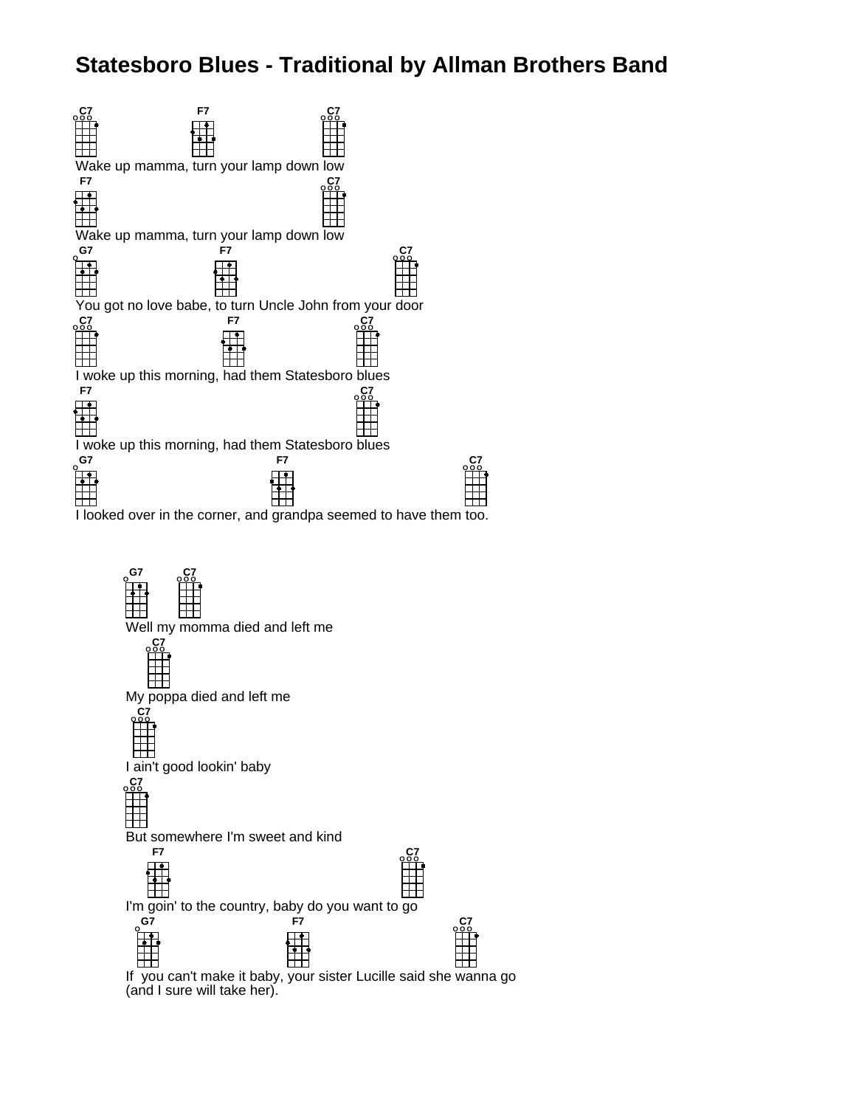## **Statesboro Blues - Traditional by Allman Brothers Band**





(and I sure will take her).